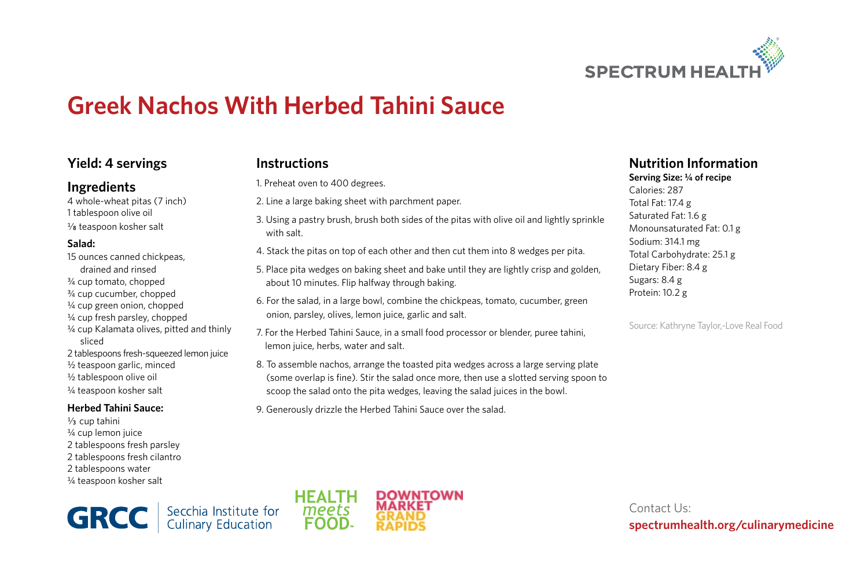

# **Greek Nachos With Herbed Tahini Sauce**

### **Yield: 4 servings**

### **Ingredients**

4 whole-wheat pitas (7 inch) 1 tablespoon olive oil  $\frac{1}{8}$  teaspoon kosher salt

#### **Salad:**

15 ounces canned chickpeas, drained and rinsed ¾ cup tomato, chopped ¾ cup cucumber, chopped ¼ cup green onion, chopped ¼ cup fresh parsley, chopped ¼ cup Kalamata olives, pitted and thinly sliced 2 tablespoons fresh-squeezed lemon juice ½ teaspoon garlic, minced ½ tablespoon olive oil ¼ teaspoon kosher salt

#### **Herbed Tahini Sauce:**

 $\frac{1}{3}$  cup tahini ¼ cup lemon juice 2 tablespoons fresh parsley 2 tablespoons fresh cilantro 2 tablespoons water ¼ teaspoon kosher salt

**Instructions**

1. Preheat oven to 400 degrees.

- 2. Line a large baking sheet with parchment paper.
- 3. Using a pastry brush, brush both sides of the pitas with olive oil and lightly sprinkle with salt.
- 4. Stack the pitas on top of each other and then cut them into 8 wedges per pita.
- 5. Place pita wedges on baking sheet and bake until they are lightly crisp and golden, about 10 minutes. Flip halfway through baking.
- 6. For the salad, in a large bowl, combine the chickpeas, tomato, cucumber, green onion, parsley, olives, lemon juice, garlic and salt.
- 7. For the Herbed Tahini Sauce, in a small food processor or blender, puree tahini, lemon juice, herbs, water and salt.
- 8. To assemble nachos, arrange the toasted pita wedges across a large serving plate (some overlap is fine). Stir the salad once more, then use a slotted serving spoon to scoop the salad onto the pita wedges, leaving the salad juices in the bowl.
- 9. Generously drizzle the Herbed Tahini Sauce over the salad.

## **Nutrition Information**

**Serving Size: ¼ of recipe** Calories: 287 Total Fat: 17.4 g Saturated Fat: 1.6 g Monounsaturated Fat: 0.1 g Sodium: 314.1 mg Total Carbohydrate: 25.1 g Dietary Fiber: 8.4 g Sugars: 8.4 g Protein: 10.2 g

Source: Kathryne Taylor,-Love Real Food

Secchia Institute for<br>Culinary Education **GRCC** 



Contact Us: **spectrumhealth.org/culinarymedicine**